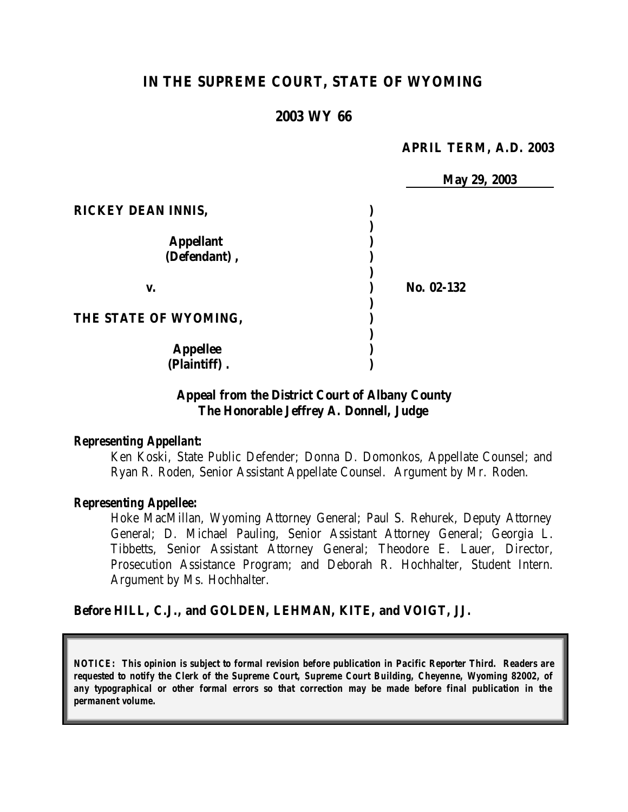# **IN THE SUPREME COURT, STATE OF WYOMING**

## **2003 WY 66**

## **APRIL TERM, A.D. 2003**

|                           | May 29, 2003 |  |
|---------------------------|--------------|--|
| <b>RICKEY DEAN INNIS,</b> |              |  |
|                           |              |  |
| <b>Appellant</b>          |              |  |
| (Defendant),              |              |  |
|                           | No. 02-132   |  |
| v.                        |              |  |
| THE STATE OF WYOMING,     |              |  |
| <b>Appellee</b>           |              |  |
| (Plaintiff).              |              |  |

# **Appeal from the District Court of Albany County The Honorable Jeffrey A. Donnell, Judge**

## *Representing Appellant:*

Ken Koski, State Public Defender; Donna D. Domonkos, Appellate Counsel; and Ryan R. Roden, Senior Assistant Appellate Counsel. Argument by Mr. Roden.

### *Representing Appellee:*

Hoke MacMillan, Wyoming Attorney General; Paul S. Rehurek, Deputy Attorney General; D. Michael Pauling, Senior Assistant Attorney General; Georgia L. Tibbetts, Senior Assistant Attorney General; Theodore E. Lauer, Director, Prosecution Assistance Program; and Deborah R. Hochhalter, Student Intern. Argument by Ms. Hochhalter.

## **Before HILL, C.J., and GOLDEN, LEHMAN, KITE, and VOIGT, JJ.**

*NOTICE: This opinion is subject to formal revision before publication in Pacific Reporter Third. Readers are requested to notify the Clerk of the Supreme Court, Supreme Court Building, Cheyenne, Wyoming 82002, of any typographical or other formal errors so that correction may be made before final publication in the permanent volume.*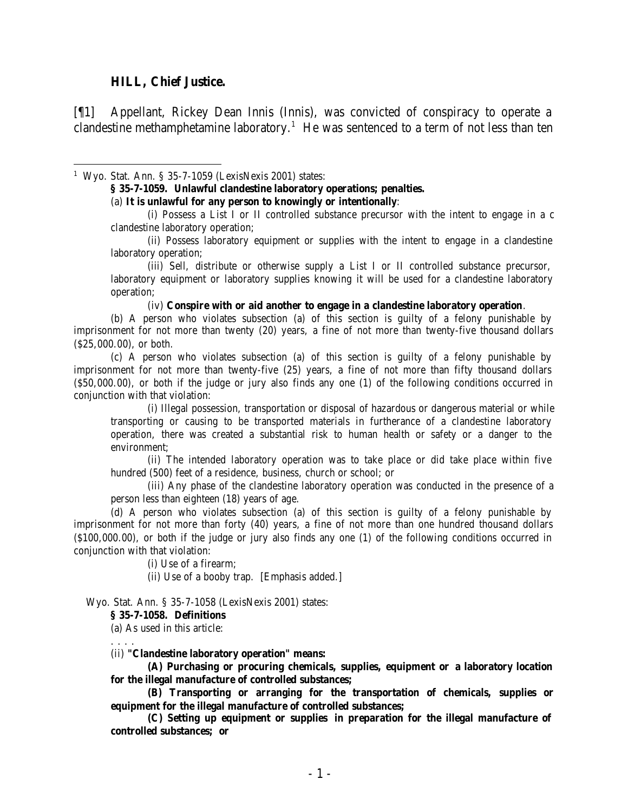#### **HILL, Chief Justice.**

[¶1] Appellant, Rickey Dean Innis (Innis), was convicted of conspiracy to operate a clandestine methamphetamine laboratory.<sup>1</sup> He was sentenced to a term of not less than ten

<sup>1</sup> Wyo. Stat. Ann. § 35-7-1059 (LexisNexis 2001) states:

**§ 35-7-1059. Unlawful clandestine laboratory operations; penalties.**

(a) **It is unlawful for any person to knowingly or intentionally**:

(i) Possess a List I or II controlled substance precursor with the intent to engage in a c clandestine laboratory operation;

(ii) Possess laboratory equipment or supplies with the intent to engage in a clandestine laboratory operation;

(iii) Sell, distribute or otherwise supply a List I or II controlled substance precursor, laboratory equipment or laboratory supplies knowing it will be used for a clandestine laboratory operation;

(iv) **Conspire with or aid another to engage in a clandestine laboratory operation**.

(b) A person who violates subsection (a) of this section is guilty of a felony punishable by imprisonment for not more than twenty (20) years, a fine of not more than twenty-five thousand dollars (\$25,000.00), or both.

(c) A person who violates subsection (a) of this section is guilty of a felony punishable by imprisonment for not more than twenty-five (25) years, a fine of not more than fifty thousand dollars (\$50,000.00), or both if the judge or jury also finds any one (1) of the following conditions occurred in conjunction with that violation:

(i) Illegal possession, transportation or disposal of hazardous or dangerous material or while transporting or causing to be transported materials in furtherance of a clandestine laboratory operation, there was created a substantial risk to human health or safety or a danger to the environment;

(ii) The intended laboratory operation was to take place or did take place within five hundred (500) feet of a residence, business, church or school; or

(iii) Any phase of the clandestine laboratory operation was conducted in the presence of a person less than eighteen (18) years of age.

(d) A person who violates subsection (a) of this section is guilty of a felony punishable by imprisonment for not more than forty (40) years, a fine of not more than one hundred thousand dollars (\$100,000.00), or both if the judge or jury also finds any one (1) of the following conditions occurred in conjunction with that violation:

(i) Use of a firearm;

(ii) Use of a booby trap. [Emphasis added.]

Wyo. Stat. Ann. § 35-7-1058 (LexisNexis 2001) states:

**§ 35-7-1058. Definitions**

(a) As used in this article:

. . . .

(ii) **"Clandestine laboratory operation" means: (A) Purchasing or procuring chemicals, supplies, equipment or a laboratory location** 

**for the illegal manufacture of controlled substances;**

**(B) Transporting or arranging for the transportation of chemicals, supplies or equipment for the illegal manufacture of controlled substances;**

**(C) Setting up equipment or supplies in preparation for the illegal manufacture of controlled substances; or**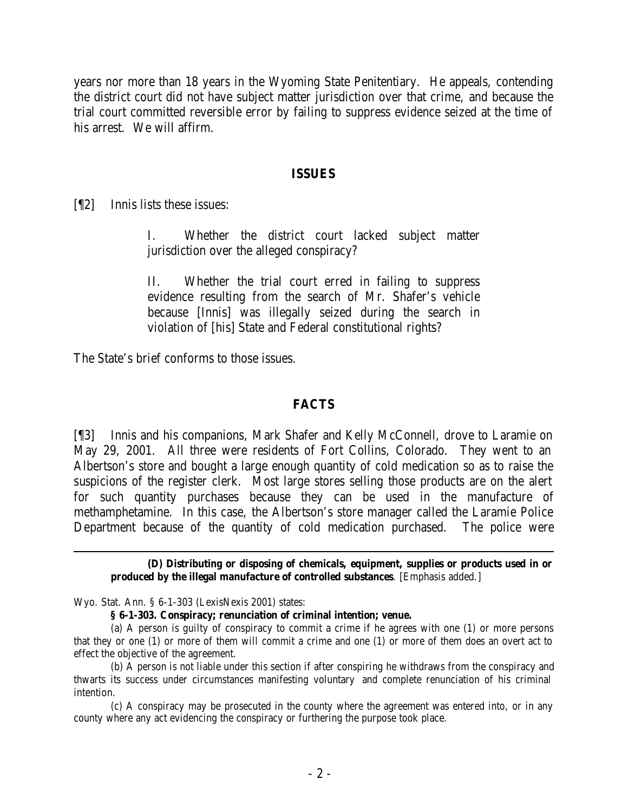years nor more than 18 years in the Wyoming State Penitentiary. He appeals, contending the district court did not have subject matter jurisdiction over that crime, and because the trial court committed reversible error by failing to suppress evidence seized at the time of his arrest. We will affirm.

## **ISSUES**

[¶2] Innis lists these issues:

I. Whether the district court lacked subject matter jurisdiction over the alleged conspiracy?

II. Whether the trial court erred in failing to suppress evidence resulting from the search of Mr. Shafer's vehicle because [Innis] was illegally seized during the search in violation of [his] State and Federal constitutional rights?

The State's brief conforms to those issues.

## **FACTS**

[¶3] Innis and his companions, Mark Shafer and Kelly McConnell, drove to Laramie on May 29, 2001. All three were residents of Fort Collins, Colorado. They went to an Albertson's store and bought a large enough quantity of cold medication so as to raise the suspicions of the register clerk. Most large stores selling those products are on the alert for such quantity purchases because they can be used in the manufacture of methamphetamine. In this case, the Albertson's store manager called the Laramie Police Department because of the quantity of cold medication purchased. The police were

**(D) Distributing or disposing of chemicals, equipment, supplies or products used in or produced by the illegal manufacture of controlled substances**. [Emphasis added.]

Wyo. Stat. Ann. § 6-1-303 (LexisNexis 2001) states:

**§ 6-1-303. Conspiracy; renunciation of criminal intention; venue.**

(a) A person is guilty of conspiracy to commit a crime if he agrees with one (1) or more persons that they or one (1) or more of them will commit a crime and one (1) or more of them does an overt act to effect the objective of the agreement.

(b) A person is not liable under this section if after conspiring he withdraws from the conspiracy and thwarts its success under circumstances manifesting voluntary and complete renunciation of his criminal intention.

(c) A conspiracy may be prosecuted in the county where the agreement was entered into, or in any county where any act evidencing the conspiracy or furthering the purpose took place.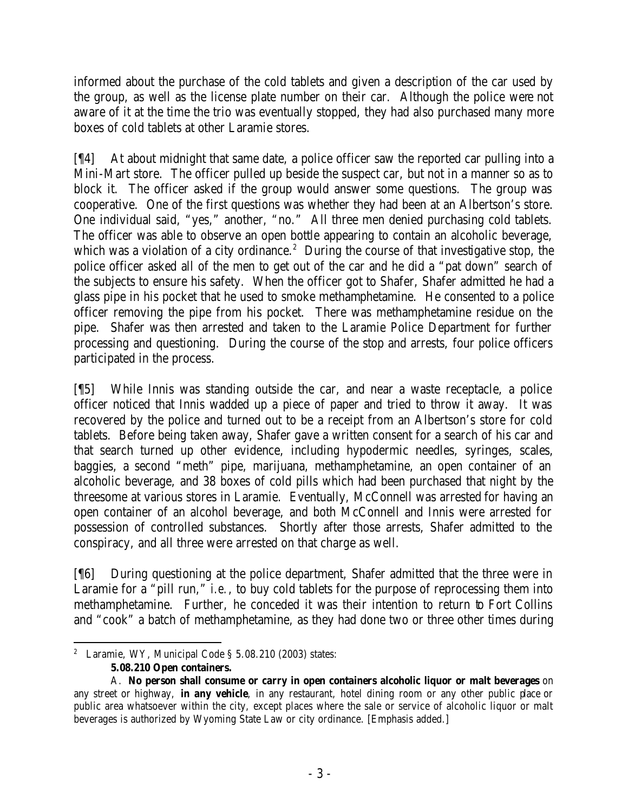informed about the purchase of the cold tablets and given a description of the car used by the group, as well as the license plate number on their car. Although the police were not aware of it at the time the trio was eventually stopped, they had also purchased many more boxes of cold tablets at other Laramie stores.

[¶4] At about midnight that same date, a police officer saw the reported car pulling into a Mini-Mart store. The officer pulled up beside the suspect car, but not in a manner so as to block it. The officer asked if the group would answer some questions. The group was cooperative. One of the first questions was whether they had been at an Albertson's store. One individual said, "yes," another, "no." All three men denied purchasing cold tablets. The officer was able to observe an open bottle appearing to contain an alcoholic beverage, which was a violation of a city ordinance.<sup>2</sup> During the course of that investigative stop, the police officer asked all of the men to get out of the car and he did a "pat down" search of the subjects to ensure his safety. When the officer got to Shafer, Shafer admitted he had a glass pipe in his pocket that he used to smoke methamphetamine. He consented to a police officer removing the pipe from his pocket. There was methamphetamine residue on the pipe. Shafer was then arrested and taken to the Laramie Police Department for further processing and questioning. During the course of the stop and arrests, four police officers participated in the process.

[¶5] While Innis was standing outside the car, and near a waste receptacle, a police officer noticed that Innis wadded up a piece of paper and tried to throw it away. It was recovered by the police and turned out to be a receipt from an Albertson's store for cold tablets. Before being taken away, Shafer gave a written consent for a search of his car and that search turned up other evidence, including hypodermic needles, syringes, scales, baggies, a second "meth" pipe, marijuana, methamphetamine, an open container of an alcoholic beverage, and 38 boxes of cold pills which had been purchased that night by the threesome at various stores in Laramie. Eventually, McConnell was arrested for having an open container of an alcohol beverage, and both McConnell and Innis were arrested for possession of controlled substances. Shortly after those arrests, Shafer admitted to the conspiracy, and all three were arrested on that charge as well.

[¶6] During questioning at the police department, Shafer admitted that the three were in Laramie for a "pill run," *i.e.*, to buy cold tablets for the purpose of reprocessing them into methamphetamine. Further, he conceded it was their intention to return to Fort Collins and "cook" a batch of methamphetamine, as they had done two or three other times during

 <sup>2</sup> Laramie, WY, Municipal Code § 5.08.210 (2003) states: **5.08.210 Open containers.**

A. **No person shall consume or carry in open containers alcoholic liquor or malt beverages** on any street or highway, **in any vehicle**, in any restaurant, hotel dining room or any other public place or public area whatsoever within the city, except places where the sale or service of alcoholic liquor or malt beverages is authorized by Wyoming State Law or city ordinance. [Emphasis added.]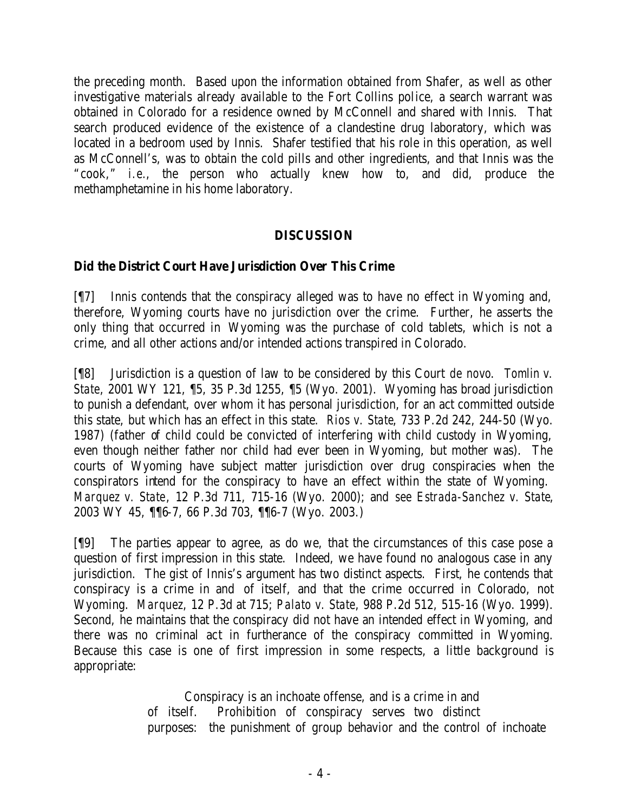the preceding month. Based upon the information obtained from Shafer, as well as other investigative materials already available to the Fort Collins police, a search warrant was obtained in Colorado for a residence owned by McConnell and shared with Innis. That search produced evidence of the existence of a clandestine drug laboratory, which was located in a bedroom used by Innis. Shafer testified that his role in this operation, as well as McConnell's, was to obtain the cold pills and other ingredients, and that Innis was the "cook," *i.e.*, the person who actually knew how to, and did, produce the methamphetamine in his home laboratory.

# **DISCUSSION**

# **Did the District Court Have Jurisdiction Over This Crime**

[¶7] Innis contends that the conspiracy alleged was to have no effect in Wyoming and, therefore, Wyoming courts have no jurisdiction over the crime. Further, he asserts the only thing that occurred in Wyoming was the purchase of cold tablets, which is not a crime, and all other actions and/or intended actions transpired in Colorado.

[¶8] Jurisdiction is a question of law to be considered by this Court *de novo*. *Tomlin v. State*, 2001 WY 121, ¶5, 35 P.3d 1255, ¶5 (Wyo. 2001). Wyoming has broad jurisdiction to punish a defendant, over whom it has personal jurisdiction, for an act committed outside this state, but which has an effect in this state. *Rios v. State*, 733 P.2d 242, 244-50 (Wyo. 1987) (father of child could be convicted of interfering with child custody in Wyoming, even though neither father nor child had ever been in Wyoming, but mother was). The courts of Wyoming have subject matter jurisdiction over drug conspiracies when the conspirators intend for the conspiracy to have an effect within the state of Wyoming. *Marquez v. State*, 12 P.3d 711, 715-16 (Wyo. 2000); and *see Estrada-Sanchez v. State*, 2003 WY 45, ¶¶6-7, 66 P.3d 703, ¶¶6-7 (Wyo. 2003.)

[¶9] The parties appear to agree, as do we, that the circumstances of this case pose a question of first impression in this state. Indeed, we have found no analogous case in any jurisdiction. The gist of Innis's argument has two distinct aspects. First, he contends that conspiracy is a crime in and of itself, and that the crime occurred in Colorado, not Wyoming. *Marquez*, 12 P.3d at 715; *Palato v. State*, 988 P.2d 512, 515-16 (Wyo. 1999). Second, he maintains that the conspiracy did not have an intended effect in Wyoming, and there was no criminal act in furtherance of the conspiracy committed in Wyoming. Because this case is one of first impression in some respects, a little background is appropriate:

> Conspiracy is an inchoate offense, and is a crime in and of itself. Prohibition of conspiracy serves two distinct purposes: the punishment of group behavior and the control of inchoate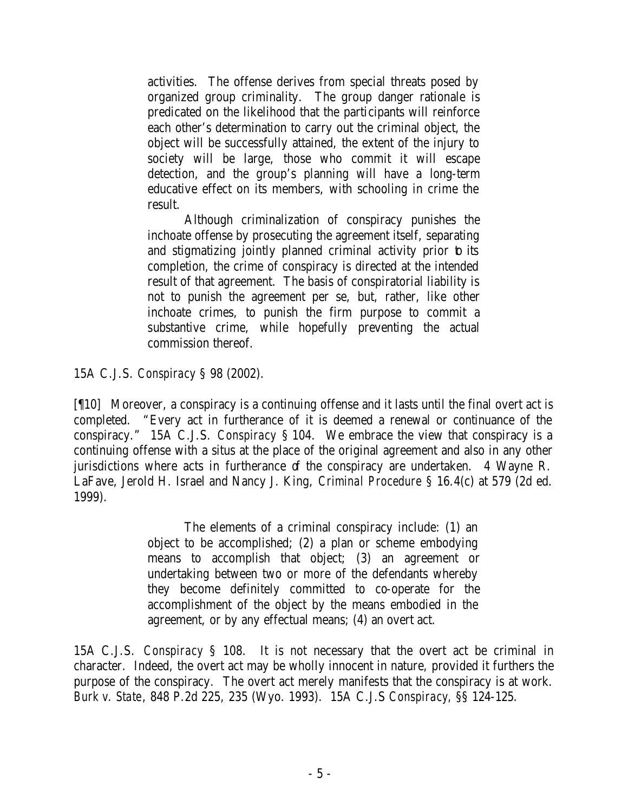activities. The offense derives from special threats posed by organized group criminality. The group danger rationale is predicated on the likelihood that the participants will reinforce each other's determination to carry out the criminal object, the object will be successfully attained, the extent of the injury to society will be large, those who commit it will escape detection, and the group's planning will have a long-term educative effect on its members, with schooling in crime the result.

Although criminalization of conspiracy punishes the inchoate offense by prosecuting the agreement itself, separating and stigmatizing jointly planned criminal activity prior to its completion, the crime of conspiracy is directed at the intended result of that agreement. The basis of conspiratorial liability is not to punish the agreement per se, but, rather, like other inchoate crimes, to punish the firm purpose to commit a substantive crime, while hopefully preventing the actual commission thereof.

15A C.J.S. *Conspiracy* § 98 (2002).

[¶10] Moreover, a conspiracy is a continuing offense and it lasts until the final overt act is completed. "Every act in furtherance of it is deemed a renewal or continuance of the conspiracy." 15A C.J.S. *Conspiracy* § 104. We embrace the view that conspiracy is a continuing offense with a situs at the place of the original agreement and also in any other jurisdictions where acts in furtherance of the conspiracy are undertaken. 4 Wayne R. LaFave, Jerold H. Israel and Nancy J. King, *Criminal Procedure* § 16.4(c) at 579 (2d ed. 1999).

> The elements of a criminal conspiracy include: (1) an object to be accomplished; (2) a plan or scheme embodying means to accomplish that object; (3) an agreement or undertaking between two or more of the defendants whereby they become definitely committed to co-operate for the accomplishment of the object by the means embodied in the agreement, or by any effectual means; (4) an overt act.

15A C.J.S. *Conspiracy* § 108. It is not necessary that the overt act be criminal in character. Indeed, the overt act may be wholly innocent in nature, provided it furthers the purpose of the conspiracy. The overt act merely manifests that the conspiracy is at work. *Burk v. State*, 848 P.2d 225, 235 (Wyo. 1993). 15A C.J.S *Conspiracy,* §§ 124-125.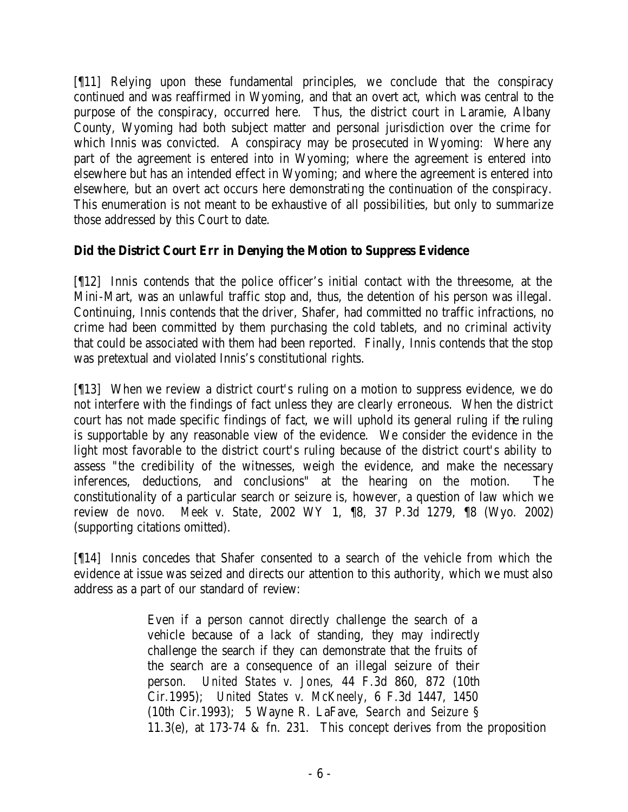[¶11] Relying upon these fundamental principles, we conclude that the conspiracy continued and was reaffirmed in Wyoming, and that an overt act, which was central to the purpose of the conspiracy, occurred here. Thus, the district court in Laramie, Albany County, Wyoming had both subject matter and personal jurisdiction over the crime for which Innis was convicted. A conspiracy may be prosecuted in Wyoming: Where any part of the agreement is entered into in Wyoming; where the agreement is entered into elsewhere but has an intended effect in Wyoming; and where the agreement is entered into elsewhere, but an overt act occurs here demonstrating the continuation of the conspiracy. This enumeration is not meant to be exhaustive of all possibilities, but only to summarize those addressed by this Court to date.

# **Did the District Court Err in Denying the Motion to Suppress Evidence**

[¶12] Innis contends that the police officer's initial contact with the threesome, at the Mini-Mart, was an unlawful traffic stop and, thus, the detention of his person was illegal. Continuing, Innis contends that the driver, Shafer, had committed no traffic infractions, no crime had been committed by them purchasing the cold tablets, and no criminal activity that could be associated with them had been reported. Finally, Innis contends that the stop was pretextual and violated Innis's constitutional rights.

[¶13] When we review a district court's ruling on a motion to suppress evidence, we do not interfere with the findings of fact unless they are clearly erroneous. When the district court has not made specific findings of fact, we will uphold its general ruling if the ruling is supportable by any reasonable view of the evidence. We consider the evidence in the light most favorable to the district court's ruling because of the district court's ability to assess "the credibility of the witnesses, weigh the evidence, and make the necessary inferences, deductions, and conclusions" at the hearing on the motion. The constitutionality of a particular search or seizure is, however, a question of law which we review *de novo*. *Meek v. State*, 2002 WY 1, ¶8, 37 P.3d 1279, ¶8 (Wyo. 2002) (supporting citations omitted).

[¶14] Innis concedes that Shafer consented to a search of the vehicle from which the evidence at issue was seized and directs our attention to this authority, which we must also address as a part of our standard of review:

> Even if a person cannot directly challenge the search of a vehicle because of a lack of standing, they may indirectly challenge the search if they can demonstrate that the fruits of the search are a consequence of an illegal seizure of their person. *United States v. Jones*, 44 F.3d 860, 872 (10th Cir.1995); *United States v. McKneely*, 6 F.3d 1447, 1450 (10th Cir.1993); 5 Wayne R. LaFave, *Search and Seizure* § 11.3(e), at 173-74 & fn. 231. This concept derives from the proposition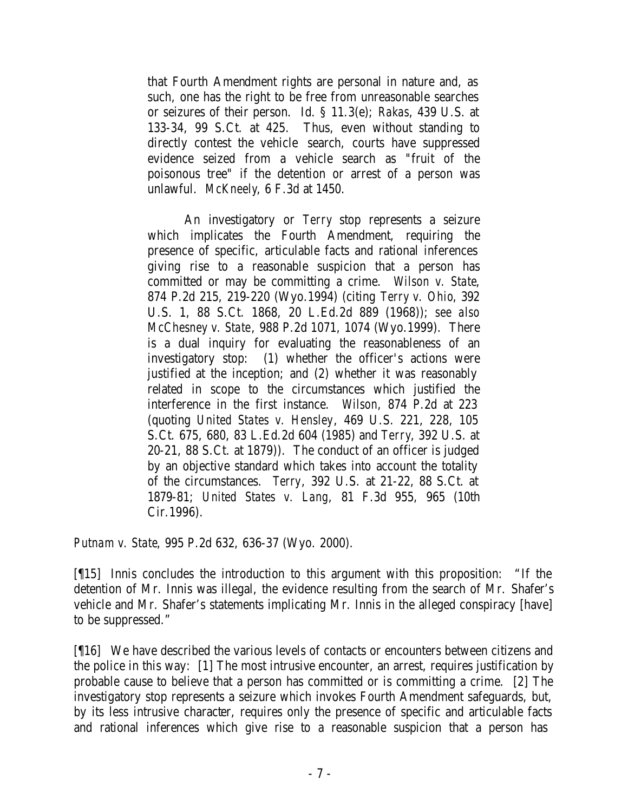that Fourth Amendment rights are personal in nature and, as such, one has the right to be free from unreasonable searches or seizures of their person. Id. § 11.3(e); *Rakas*, 439 U.S. at 133-34, 99 S.Ct. at 425. Thus, even without standing to directly contest the vehicle search, courts have suppressed evidence seized from a vehicle search as "fruit of the poisonous tree" if the detention or arrest of a person was unlawful. *McKneely*, 6 F.3d at 1450.

An investigatory or *Terry* stop represents a seizure which implicates the Fourth Amendment, requiring the presence of specific, articulable facts and rational inferences giving rise to a reasonable suspicion that a person has committed or may be committing a crime. *Wilson v. State*, 874 P.2d 215, 219-220 (Wyo.1994) (citing *Terry v. Ohio*, 392 U.S. 1, 88 S.Ct. 1868, 20 L.Ed.2d 889 (1968)); *see also McChesney v. State*, 988 P.2d 1071, 1074 (Wyo.1999). There is a dual inquiry for evaluating the reasonableness of an investigatory stop: (1) whether the officer's actions were justified at the inception; and (2) whether it was reasonably related in scope to the circumstances which justified the interference in the first instance. *Wilson*, 874 P.2d at 223 (quoting *United States v. Hensley*, 469 U.S. 221, 228, 105 S.Ct. 675, 680, 83 L.Ed.2d 604 (1985) and *Terry*, 392 U.S. at 20-21, 88 S.Ct. at 1879)). The conduct of an officer is judged by an objective standard which takes into account the totality of the circumstances. *Terry*, 392 U.S. at 21-22, 88 S.Ct. at 1879-81; *United States v. Lang*, 81 F.3d 955, 965 (10th Cir.1996).

*Putnam v. State*, 995 P.2d 632, 636-37 (Wyo. 2000).

[¶15] Innis concludes the introduction to this argument with this proposition: "If the detention of Mr. Innis was illegal, the evidence resulting from the search of Mr. Shafer's vehicle and Mr. Shafer's statements implicating Mr. Innis in the alleged conspiracy [have] to be suppressed."

[¶16] We have described the various levels of contacts or encounters between citizens and the police in this way: [1] The most intrusive encounter, an arrest, requires justification by probable cause to believe that a person has committed or is committing a crime. [2] The investigatory stop represents a seizure which invokes Fourth Amendment safeguards, but, by its less intrusive character, requires only the presence of specific and articulable facts and rational inferences which give rise to a reasonable suspicion that a person has